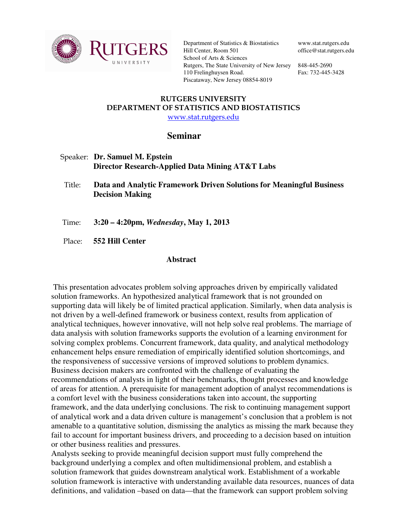

Department of Statistics & Biostatistics Hill Center, Room 501 School of Arts & Sciences Rutgers, The State University of New Jersey 848-445-2690 110 Frelinghuysen Road. Piscataway, New Jersey 08854-8019

www.stat.rutgers.edu office@stat.rutgers.edu

Fax: 732-445-3428

## RUTGERS UNIVERSITY DEPARTMENT OF STATISTICS AND BIOSTATISTICS www.stat.rutgers.edu

## **Seminar**

- Speaker: **Dr. Samuel M. Epstein Director Research-Applied Data Mining AT&T Labs**
- Title: **Data and Analytic Framework Driven Solutions for Meaningful Business Decision Making**
- Time: **3:20 4:20pm,** *Wednesday***, May 1, 2013**
- Place: **552 Hill Center**

## **Abstract**

 This presentation advocates problem solving approaches driven by empirically validated solution frameworks. An hypothesized analytical framework that is not grounded on supporting data will likely be of limited practical application. Similarly, when data analysis is not driven by a well-defined framework or business context, results from application of analytical techniques, however innovative, will not help solve real problems. The marriage of data analysis with solution frameworks supports the evolution of a learning environment for solving complex problems. Concurrent framework, data quality, and analytical methodology enhancement helps ensure remediation of empirically identified solution shortcomings, and the responsiveness of successive versions of improved solutions to problem dynamics. Business decision makers are confronted with the challenge of evaluating the recommendations of analysts in light of their benchmarks, thought processes and knowledge of areas for attention. A prerequisite for management adoption of analyst recommendations is a comfort level with the business considerations taken into account, the supporting framework, and the data underlying conclusions. The risk to continuing management support of analytical work and a data driven culture is management's conclusion that a problem is not amenable to a quantitative solution, dismissing the analytics as missing the mark because they fail to account for important business drivers, and proceeding to a decision based on intuition or other business realities and pressures.

Analysts seeking to provide meaningful decision support must fully comprehend the background underlying a complex and often multidimensional problem, and establish a solution framework that guides downstream analytical work. Establishment of a workable solution framework is interactive with understanding available data resources, nuances of data definitions, and validation –based on data—that the framework can support problem solving